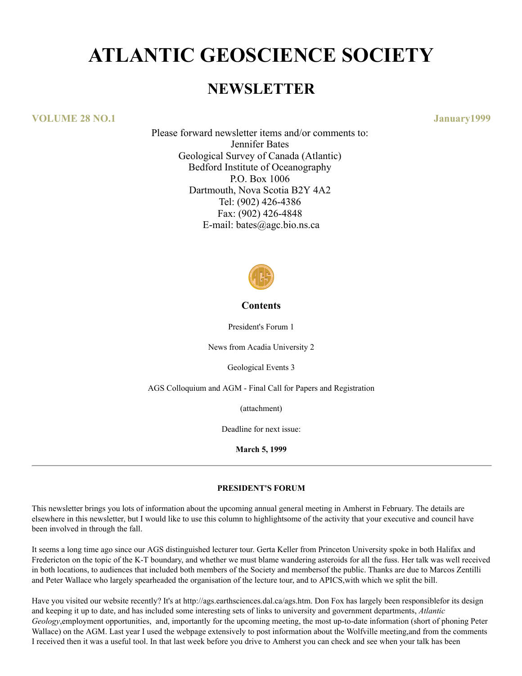# **ATLANTIC GEOSCIENCE SOCIETY**

## **NEWSLETTER**

**VOLUME 28 NO.1 January1999**

Please forward newsletter items and/or comments to: Jennifer Bates Geological Survey of Canada (Atlantic) Bedford Institute of Oceanography P.O. Box 1006 Dartmouth, Nova Scotia B2Y 4A2 Tel: (902) 426-4386 Fax: (902) 426-4848 E-mail: bates@agc.bio.ns.ca



## **Contents**

President's Forum 1

News from Acadia University 2

Geological Events 3

AGS Colloquium and AGM - Final Call for Papers and Registration

(attachment)

Deadline for next issue:

**March 5, 1999**

## **PRESIDENT'S FORUM**

This newsletter brings you lots of information about the upcoming annual general meeting in Amherst in February. The details are elsewhere in this newsletter, but I would like to use this column to highlightsome of the activity that your executive and council have been involved in through the fall.

It seems a long time ago since our AGS distinguished lecturer tour. Gerta Keller from Princeton University spoke in both Halifax and Fredericton on the topic of the K-T boundary, and whether we must blame wandering asteroids for all the fuss. Her talk was well received in both locations, to audiences that included both members of the Society and membersof the public. Thanks are due to Marcos Zentilli and Peter Wallace who largely spearheaded the organisation of the lecture tour, and to APICS,with which we split the bill.

Have you visited our website recently? It's at http://ags.earthsciences.dal.ca/ags.htm. Don Fox has largely been responsiblefor its design and keeping it up to date, and has included some interesting sets of links to university and government departments, *Atlantic Geology*,employment opportunities, and, importantly for the upcoming meeting, the most up-to-date information (short of phoning Peter Wallace) on the AGM. Last year I used the webpage extensively to post information about the Wolfville meeting,and from the comments I received then it was a useful tool. In that last week before you drive to Amherst you can check and see when your talk has been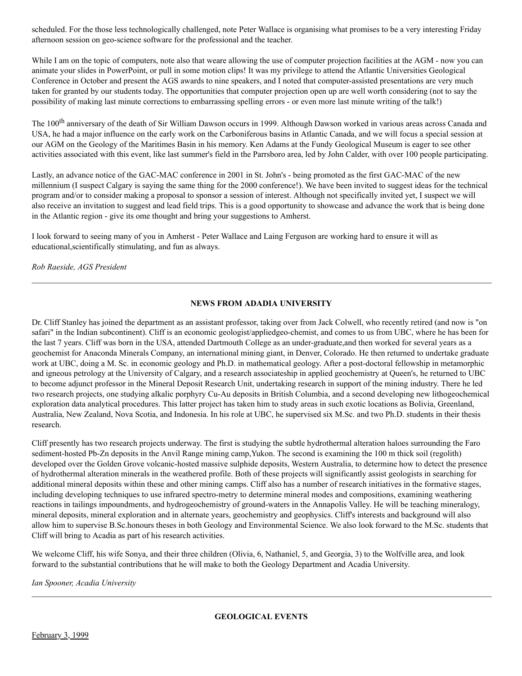scheduled. For the those less technologically challenged, note Peter Wallace is organising what promises to be a very interesting Friday afternoon session on geo-science software for the professional and the teacher.

While I am on the topic of computers, note also that weare allowing the use of computer projection facilities at the AGM - now you can animate your slides in PowerPoint, or pull in some motion clips! It was my privilege to attend the Atlantic Universities Geological Conference in October and present the AGS awards to nine speakers, and I noted that computer-assisted presentations are very much taken for granted by our students today. The opportunities that computer projection open up are well worth considering (not to say the possibility of making last minute corrections to embarrassing spelling errors - or even more last minute writing of the talk!)

The 100<sup>th</sup> anniversary of the death of Sir William Dawson occurs in 1999. Although Dawson worked in various areas across Canada and USA, he had a major influence on the early work on the Carboniferous basins in Atlantic Canada, and we will focus a special session at our AGM on the Geology of the Maritimes Basin in his memory. Ken Adams at the Fundy Geological Museum is eager to see other activities associated with this event, like last summer's field in the Parrsboro area, led by John Calder, with over 100 people participating.

Lastly, an advance notice of the GAC-MAC conference in 2001 in St. John's - being promoted as the first GAC-MAC of the new millennium (I suspect Calgary is saying the same thing for the 2000 conference!). We have been invited to suggest ideas for the technical program and/or to consider making a proposal to sponsor a session of interest. Although not specifically invited yet, I suspect we will also receive an invitation to suggest and lead field trips. This is a good opportunity to showcase and advance the work that is being done in the Atlantic region - give its ome thought and bring your suggestions to Amherst.

I look forward to seeing many of you in Amherst - Peter Wallace and Laing Ferguson are working hard to ensure it will as educational,scientifically stimulating, and fun as always.

*Rob Raeside, AGS President*

## **NEWS FROM ADADIA UNIVERSITY**

Dr. Cliff Stanley has joined the department as an assistant professor, taking over from Jack Colwell, who recently retired (and now is "on safari" in the Indian subcontinent). Cliff is an economic geologist/appliedgeo-chemist, and comes to us from UBC, where he has been for the last 7 years. Cliff was born in the USA, attended Dartmouth College as an under-graduate,and then worked for several years as a geochemist for Anaconda Minerals Company, an international mining giant, in Denver, Colorado. He then returned to undertake graduate work at UBC, doing a M. Sc. in economic geology and Ph.D. in mathematical geology. After a post-doctoral fellowship in metamorphic and igneous petrology at the University of Calgary, and a research associateship in applied geochemistry at Queen's, he returned to UBC to become adjunct professor in the Mineral Deposit Research Unit, undertaking research in support of the mining industry. There he led two research projects, one studying alkalic porphyry Cu-Au deposits in British Columbia, and a second developing new lithogeochemical exploration data analytical procedures. This latter project has taken him to study areas in such exotic locations as Bolivia, Greenland, Australia, New Zealand, Nova Scotia, and Indonesia. In his role at UBC, he supervised six M.Sc. and two Ph.D. students in their thesis research.

Cliff presently has two research projects underway. The first is studying the subtle hydrothermal alteration haloes surrounding the Faro sediment-hosted Pb-Zn deposits in the Anvil Range mining camp,Yukon. The second is examining the 100 m thick soil (regolith) developed over the Golden Grove volcanic-hosted massive sulphide deposits, Western Australia, to determine how to detect the presence of hydrothermal alteration minerals in the weathered profile. Both of these projects will significantly assist geologists in searching for additional mineral deposits within these and other mining camps. Cliff also has a number of research initiatives in the formative stages, including developing techniques to use infrared spectro-metry to determine mineral modes and compositions, examining weathering reactions in tailings impoundments, and hydrogeochemistry of ground-waters in the Annapolis Valley. He will be teaching mineralogy, mineral deposits, mineral exploration and in alternate years, geochemistry and geophysics. Cliff's interests and background will also allow him to supervise B.Sc.honours theses in both Geology and Environmental Science. We also look forward to the M.Sc. students that Cliff will bring to Acadia as part of his research activities.

We welcome Cliff, his wife Sonya, and their three children (Olivia, 6, Nathaniel, 5, and Georgia, 3) to the Wolfville area, and look forward to the substantial contributions that he will make to both the Geology Department and Acadia University.

*Ian Spooner, Acadia University*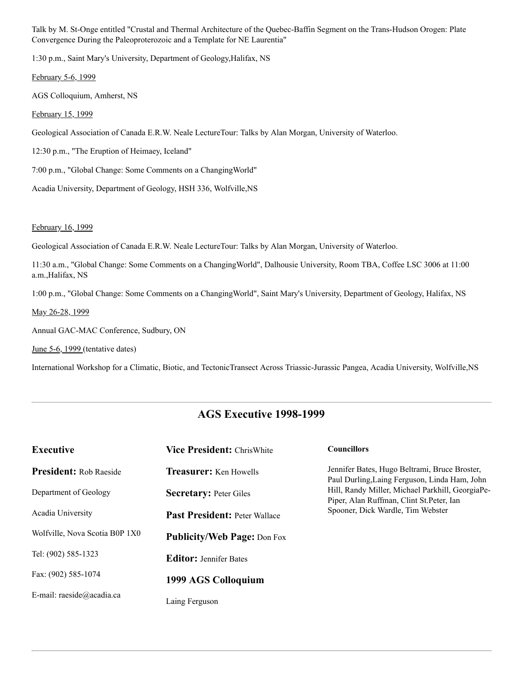Talk by M. St-Onge entitled "Crustal and Thermal Architecture of the Quebec-Baffin Segment on the Trans-Hudson Orogen: Plate Convergence During the Paleoproterozoic and a Template for NE Laurentia"

1:30 p.m., Saint Mary's University, Department of Geology,Halifax, NS

February 5-6, 1999

AGS Colloquium, Amherst, NS

February 15, 1999

Geological Association of Canada E.R.W. Neale LectureTour: Talks by Alan Morgan, University of Waterloo.

12:30 p.m., "The Eruption of Heimaey, Iceland"

7:00 p.m., "Global Change: Some Comments on a ChangingWorld"

Acadia University, Department of Geology, HSH 336, Wolfville,NS

February 16, 1999

Geological Association of Canada E.R.W. Neale LectureTour: Talks by Alan Morgan, University of Waterloo.

11:30 a.m., "Global Change: Some Comments on a ChangingWorld", Dalhousie University, Room TBA, Coffee LSC 3006 at 11:00 a.m.,Halifax, NS

1:00 p.m., "Global Change: Some Comments on a ChangingWorld", Saint Mary's University, Department of Geology, Halifax, NS

May 26-28, 1999

Annual GAC-MAC Conference, Sudbury, ON

June 5-6, 1999 (tentative dates)

International Workshop for a Climatic, Biotic, and TectonicTransect Across Triassic-Jurassic Pangea, Acadia University, Wolfville,NS

## **AGS Executive 1998-1999**

| <b>Executive</b>               | <b>Vice President: ChrisWhite</b>    | <b>Councillors</b>                                                                                                                                                                                                                  |
|--------------------------------|--------------------------------------|-------------------------------------------------------------------------------------------------------------------------------------------------------------------------------------------------------------------------------------|
| <b>President:</b> Rob Raeside  | <b>Treasurer:</b> Ken Howells        | Jennifer Bates, Hugo Beltrami, Bruce Broster,<br>Paul Durling, Laing Ferguson, Linda Ham, John<br>Hill, Randy Miller, Michael Parkhill, GeorgiaPe-<br>Piper, Alan Ruffman, Clint St.Peter, Ian<br>Spooner, Dick Wardle, Tim Webster |
| Department of Geology          | <b>Secretary: Peter Giles</b>        |                                                                                                                                                                                                                                     |
| Acadia University              | <b>Past President: Peter Wallace</b> |                                                                                                                                                                                                                                     |
| Wolfville, Nova Scotia B0P 1X0 | <b>Publicity/Web Page: Don Fox</b>   |                                                                                                                                                                                                                                     |
| Tel: (902) 585-1323            | <b>Editor:</b> Jennifer Bates        |                                                                                                                                                                                                                                     |
| Fax: (902) 585-1074            | 1999 AGS Colloquium                  |                                                                                                                                                                                                                                     |
| E-mail: raeside@acadia.ca      | Laing Ferguson                       |                                                                                                                                                                                                                                     |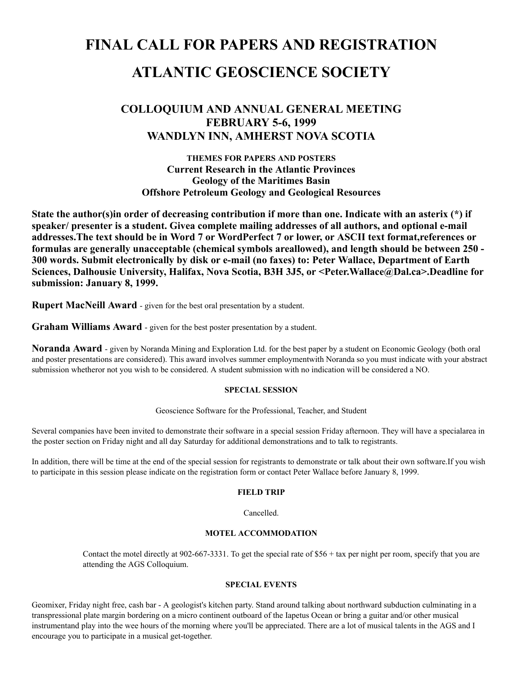# **FINAL CALL FOR PAPERS AND REGISTRATION ATLANTIC GEOSCIENCE SOCIETY**

## **COLLOQUIUM AND ANNUAL GENERAL MEETING FEBRUARY 5-6, 1999 WANDLYN INN, AMHERST NOVA SCOTIA**

**THEMES FOR PAPERS AND POSTERS Current Research in the Atlantic Provinces Geology of the Maritimes Basin Offshore Petroleum Geology and Geological Resources**

**State the author(s)in order of decreasing contribution if more than one. Indicate with an asterix (\*) if speaker/ presenter is a student. Givea complete mailing addresses of all authors, and optional e-mail addresses.The text should be in Word 7 or WordPerfect 7 or lower, or ASCII text format,references or formulas are generally unacceptable (chemical symbols areallowed), and length should be between 250 - 300 words. Submit electronically by disk or e-mail (no faxes) to: Peter Wallace, Department of Earth Sciences, Dalhousie University, Halifax, Nova Scotia, B3H 3J5, or <Peter.Wallace@Dal.ca>.Deadline for submission: January 8, 1999.**

**Rupert MacNeill Award** - given for the best oral presentation by a student.

**Graham Williams Award** - given for the best poster presentation by a student.

**Noranda Award** - given by Noranda Mining and Exploration Ltd. for the best paper by a student on Economic Geology (both oral and poster presentations are considered). This award involves summer employmentwith Noranda so you must indicate with your abstract submission whetheror not you wish to be considered. A student submission with no indication will be considered a NO.

## **SPECIAL SESSION**

Geoscience Software for the Professional, Teacher, and Student

Several companies have been invited to demonstrate their software in a special session Friday afternoon. They will have a specialarea in the poster section on Friday night and all day Saturday for additional demonstrations and to talk to registrants.

In addition, there will be time at the end of the special session for registrants to demonstrate or talk about their own software.If you wish to participate in this session please indicate on the registration form or contact Peter Wallace before January 8, 1999.

## **FIELD TRIP**

Cancelled.

## **MOTEL ACCOMMODATION**

Contact the motel directly at 902-667-3331. To get the special rate of \$56 + tax per night per room, specify that you are attending the AGS Colloquium.

## **SPECIAL EVENTS**

Geomixer, Friday night free, cash bar - A geologist's kitchen party. Stand around talking about northward subduction culminating in a transpressional plate margin bordering on a micro continent outboard of the Iapetus Ocean or bring a guitar and/or other musical instrumentand play into the wee hours of the morning where you'll be appreciated. There are a lot of musical talents in the AGS and I encourage you to participate in a musical get-together.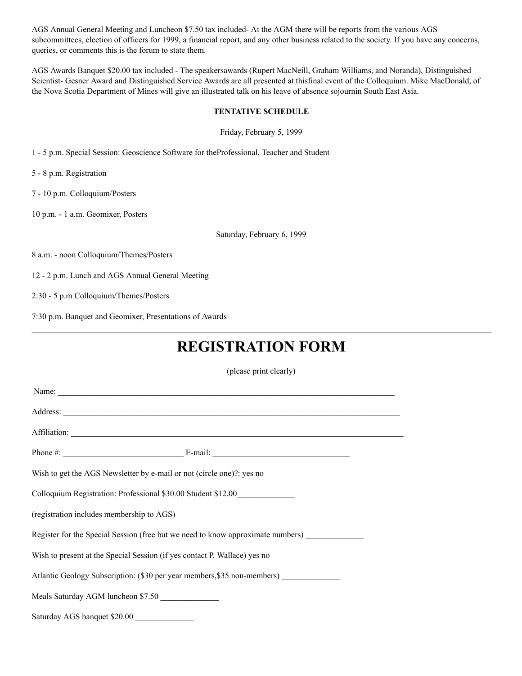AGS Annual General Meeting and Luncheon \$7.50 tax included- At the AGM there will be reports from the various AGS subcommittees, election of officers for 1999, a financial report, and any other business related to the society. If you have any concerns, queries, or comments this is the forum to state them.

AGS Awards Banquet \$20.00 tax included - The speakersawards (Rupert MacNeill, Graham Williams, and Noranda), Distinguished Scientist- Gesner Award and Distinguished Service Awards are all presented at thisfinal event of the Colloquium. Mike MacDonald, of the Nova Scotia Department of Mines will give an illustrated talk on his leave of absence sojournin South East Asia.

#### **TENTATIVE SCHEDULE**

Friday, February 5, 1999

1 - 5 p.m. Special Session: Geoscience Software for theProfessional, Teacher and Student

5 - 8 p.m. Registration

7 - 10 p.m. Colloquium/Posters

10 p.m. - 1 a.m. Geomixer, Posters

Saturday, February 6, 1999

8 a.m. - noon Colloquium/Themes/Posters

12 - 2 p.m. Lunch and AGS Annual General Meeting

2:30 - 5 p.m Colloquium/Themes/Posters

7:30 p.m. Banquet and Geomixer, Presentations of Awards

## **REGISTRATION FORM**

(please print clearly)

| Wish to get the AGS Newsletter by e-mail or not (circle one)?: yes no           |  |  |
|---------------------------------------------------------------------------------|--|--|
| Colloquium Registration: Professional \$30.00 Student \$12.00                   |  |  |
| (registration includes membership to AGS)                                       |  |  |
| Register for the Special Session (free but we need to know approximate numbers) |  |  |
| Wish to present at the Special Session (if yes contact P. Wallace) yes no       |  |  |
| Atlantic Geology Subscription: (\$30 per year members, \$35 non-members)        |  |  |
| Meals Saturday AGM luncheon \$7.50                                              |  |  |
| Saturday AGS banquet \$20.00                                                    |  |  |